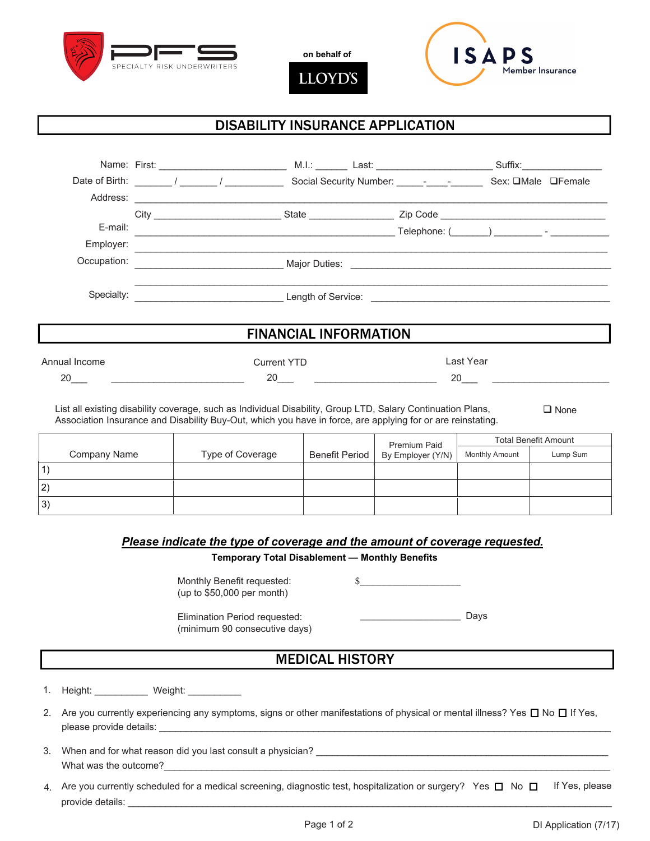

**on behalf of**

**LLOYD'S** 



# DISABILITY INSURANCE APPLICATION

|                              | Date of Birth: $\frac{1}{\sqrt{1-\frac{1}{2}}}\frac{1}{\sqrt{1-\frac{1}{2}}}\frac{1}{\sqrt{1-\frac{1}{2}}}\frac{1}{\sqrt{1-\frac{1}{2}}}\frac{1}{\sqrt{1-\frac{1}{2}}}\frac{1}{\sqrt{1-\frac{1}{2}}}\frac{1}{\sqrt{1-\frac{1}{2}}}\frac{1}{\sqrt{1-\frac{1}{2}}}\frac{1}{\sqrt{1-\frac{1}{2}}}\frac{1}{\sqrt{1-\frac{1}{2}}}\frac{1}{\sqrt{1-\frac{1}{2}}}\frac{1}{\sqrt{1-\frac{1}{2}}}\frac{1}{\sqrt{1-\frac{1$ |                                                                                                                                                                                                                                                                                                                                                                       |           | Social Security Number: _______________________ Sex: □Male □Female |
|------------------------------|-------------------------------------------------------------------------------------------------------------------------------------------------------------------------------------------------------------------------------------------------------------------------------------------------------------------------------------------------------------------------------------------------------------------|-----------------------------------------------------------------------------------------------------------------------------------------------------------------------------------------------------------------------------------------------------------------------------------------------------------------------------------------------------------------------|-----------|--------------------------------------------------------------------|
| Address:                     |                                                                                                                                                                                                                                                                                                                                                                                                                   | <u> 1989 - Johann Stoff, deutscher Stoffen und der Stoffen und der Stoffen und der Stoffen und der Stoffen und der</u>                                                                                                                                                                                                                                                |           |                                                                    |
|                              |                                                                                                                                                                                                                                                                                                                                                                                                                   |                                                                                                                                                                                                                                                                                                                                                                       |           |                                                                    |
| E-mail:                      |                                                                                                                                                                                                                                                                                                                                                                                                                   |                                                                                                                                                                                                                                                                                                                                                                       |           |                                                                    |
| Employer:                    |                                                                                                                                                                                                                                                                                                                                                                                                                   | 的,我们也不会在这里,我们的人们也不会在这里,我们的人们也不会在这里,我们的人们也不会在这里,我们的人们也不会在这里。我们的人们也不会在这里,我们的人们也不会在                                                                                                                                                                                                                                                                                      |           |                                                                    |
|                              |                                                                                                                                                                                                                                                                                                                                                                                                                   |                                                                                                                                                                                                                                                                                                                                                                       |           |                                                                    |
| Specialty:                   |                                                                                                                                                                                                                                                                                                                                                                                                                   |                                                                                                                                                                                                                                                                                                                                                                       |           |                                                                    |
| <b>FINANCIAL INFORMATION</b> |                                                                                                                                                                                                                                                                                                                                                                                                                   |                                                                                                                                                                                                                                                                                                                                                                       |           |                                                                    |
| Annual Income                |                                                                                                                                                                                                                                                                                                                                                                                                                   | <b>Current YTD</b>                                                                                                                                                                                                                                                                                                                                                    | Last Year |                                                                    |
| 20                           |                                                                                                                                                                                                                                                                                                                                                                                                                   | $20$ and $\overline{\phantom{a}20}$ and $\overline{\phantom{a}20}$ and $\overline{\phantom{a}20}$ and $\overline{\phantom{a}20}$ and $\overline{\phantom{a}20}$ and $\overline{\phantom{a}20}$ and $\overline{\phantom{a}20}$ and $\overline{\phantom{a}20}$ and $\overline{\phantom{a}20}$ and $\overline{\phantom{a}20}$ and $\overline{\phantom{a}20}$ and $\over$ | 20        |                                                                    |
|                              |                                                                                                                                                                                                                                                                                                                                                                                                                   |                                                                                                                                                                                                                                                                                                                                                                       |           |                                                                    |

List all existing disability coverage, such as Individual Disability, Group LTD, Salary Continuation Plans, Association Insurance and Disability Buy-Out, which you have in force, are applying for or are reinstating. □ None

Company Name | Type of Coverage | Benefit Period Premium Paid By Employer (Y/N) Total Benefit Amount Monthly Amount Lump Sum 1) 2) 3)

#### *Please indicate the type of coverage and the amount of coverage requested.*

**Temporary Total Disablement — Monthly Benefits**

Monthly Benefit requested: (up to \$50,000 per month)

 $\frac{\frac{1}{2}$ 

Elimination Period requested: (minimum 90 consecutive days) \_\_\_\_\_\_\_\_\_\_\_\_\_\_\_\_\_\_\_ Days

### MEDICAL HISTORY

1. Height: Weight:

- 2. Are you currently experiencing any symptoms, signs or other manifestations of physical or mental illness? Yes  $\Box$  No  $\Box$  If Yes, please provide details:
- 3. When and for what reason did you last consult a physician? What was the outcome?
- 4.  $\,$  Are you currently scheduled for a medical screening, diagnostic test, hospitalization or surgery?  $\,$  Yes  $\,\square\,$  No  $\,\square\,$   $\,$  If Yes, please provide details: